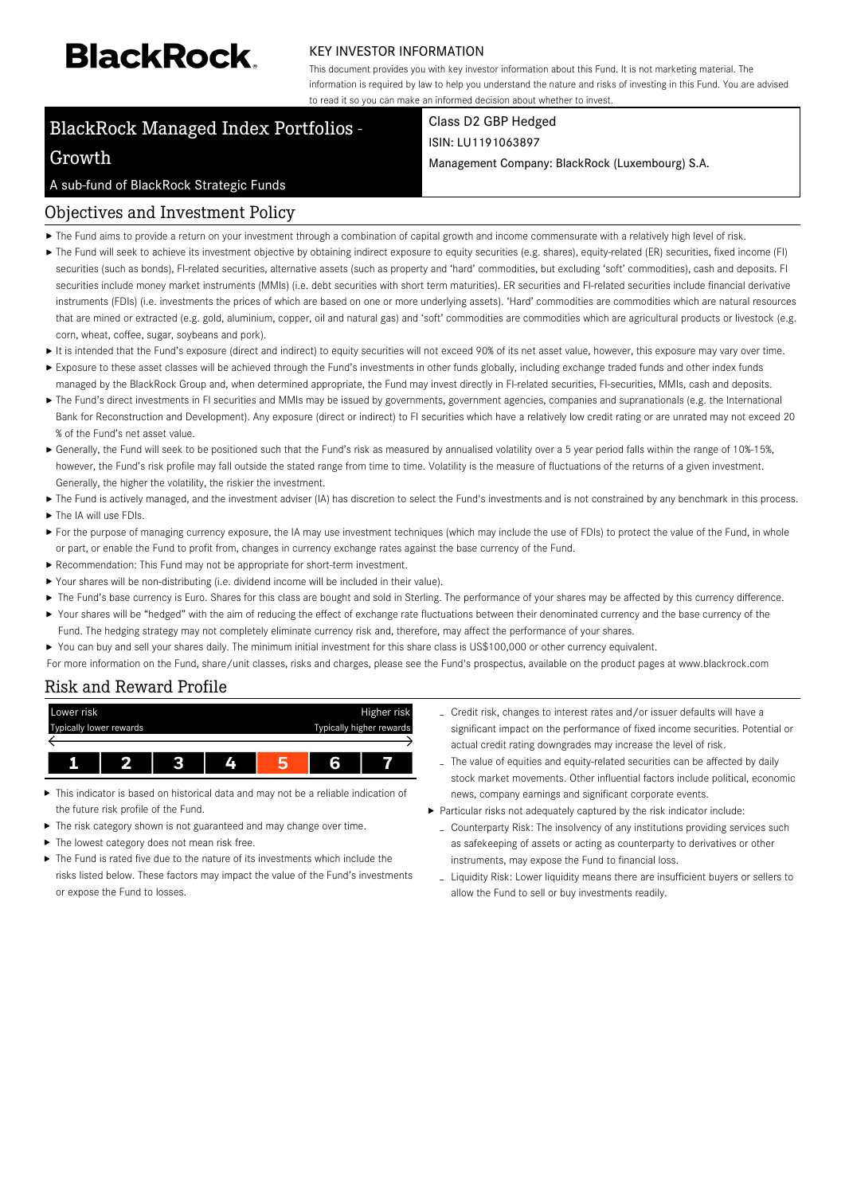# **BlackRock**

#### KEY INVESTOR INFORMATION

This document provides you with key investor information about this Fund. It is not marketing material. The information is required by law to help you understand the nature and risks of investing in this Fund. You are advised to read it so you can make an informed decision about whether to invest.

# BlackRock Managed Index Portfolios -

# Class D2 GBP Hedged ISIN: LU1191063897

Management Company: BlackRock (Luxembourg) S.A.

## A sub-fund of BlackRock Strategic Funds

Growth

# Objectives and Investment Policy

- The Fund aims to provide a return on your investment through a combination of capital growth and income commensurate with a relatively high level of risk.
- ▶ The Fund will seek to achieve its investment objective by obtaining indirect exposure to equity securities (e.g. shares), equity-related (ER) securities, fixed income (FI) securities (such as bonds), FI-related securities, alternative assets (such as property and 'hard' commodities, but excluding 'soft' commodities), cash and deposits. FI securities include money market instruments (MMIs) (i.e. debt securities with short term maturities). ER securities and FI-related securities include financial derivative instruments (FDIs) (i.e. investments the prices of which are based on one or more underlying assets). 'Hard' commodities are commodities which are natural resources that are mined or extracted (e.g. gold, aluminium, copper, oil and natural gas) and 'soft' commodities are commodities which are agricultural products or livestock (e.g. corn, wheat, coffee, sugar, soybeans and pork).
- It is intended that the Fund's exposure (direct and indirect) to equity securities will not exceed 90% of its net asset value, however, this exposure may vary over time.
- Exposure to these asset classes will be achieved through the Fund's investments in other funds globally, including exchange traded funds and other index funds
- managed by the BlackRock Group and, when determined appropriate, the Fund may invest directly in FI-related securities, FI-securities, MMIs, cash and deposits. ▶ The Fund's direct investments in FI securities and MMIs may be issued by governments, government agencies, companies and supranationals (e.g. the International Bank for Reconstruction and Development). Any exposure (direct or indirect) to FI securities which have a relatively low credit rating or are unrated may not exceed 20 % of the Fund's net asset value.
- ► Generally, the Fund will seek to be positioned such that the Fund's risk as measured by annualised volatility over a 5 year period falls within the range of 10%-15%, however, the Fund's risk profile may fall outside the stated range from time to time. Volatility is the measure of fluctuations of the returns of a given investment. Generally, the higher the volatility, the riskier the investment.
- ▶ The Fund is actively managed, and the investment adviser (IA) has discretion to select the Fund's investments and is not constrained by any benchmark in this process. ▶ The IA will use FDIs.
- For the purpose of managing currency exposure, the IA may use investment techniques (which may include the use of FDIs) to protect the value of the Fund, in whole or part, or enable the Fund to profit from, changes in currency exchange rates against the base currency of the Fund.
- Recommendation: This Fund may not be appropriate for short-term investment.
- Your shares will be non-distributing (i.e. dividend income will be included in their value).
- ▶ The Fund's base currency is Euro. Shares for this class are bought and sold in Sterling. The performance of your shares may be affected by this currency difference.
- Your shares will be "hedged" with the aim of reducing the effect of exchange rate fluctuations between their denominated currency and the base currency of the Fund. The hedging strategy may not completely eliminate currency risk and, therefore, may affect the performance of your shares.
- ▶ You can buy and sell your shares daily. The minimum initial investment for this share class is US\$100,000 or other currency equivalent.
- For more information on the Fund, share/unit classes, risks and charges, please see the Fund's prospectus, available on the product pages at www.blackrock.com

# Risk and Reward Profile



- This indicator is based on historical data and may not be a reliable indication of the future risk profile of the Fund.
- The risk category shown is not guaranteed and may change over time.
- The lowest category does not mean risk free.
- The Fund is rated five due to the nature of its investments which include the risks listed below. These factors may impact the value of the Fund's investments or expose the Fund to losses.
- Credit risk, changes to interest rates and/or issuer defaults will have a significant impact on the performance of fixed income securities. Potential or actual credit rating downgrades may increase the level of risk.
- The value of equities and equity-related securities can be affected by daily stock market movements. Other influential factors include political, economic news, company earnings and significant corporate events.
- Particular risks not adequately captured by the risk indicator include:
	- Counterparty Risk: The insolvency of any institutions providing services such as safekeeping of assets or acting as counterparty to derivatives or other instruments, may expose the Fund to financial loss.
	- Liquidity Risk: Lower liquidity means there are insufficient buyers or sellers to allow the Fund to sell or buy investments readily.